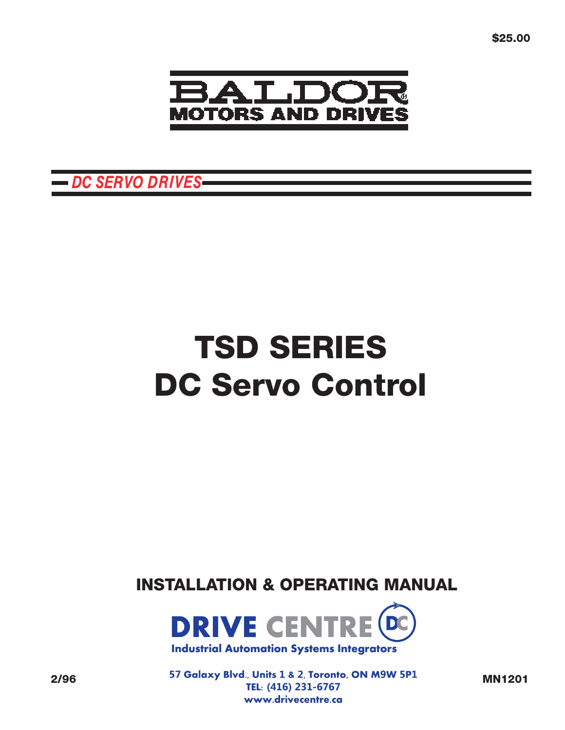

- DC SERVO DRIVES-

# **TSD SERIES DC Servo Control**

**INSTALLATION & OPERATING MANUAL**



**2/96 MN1201**www.drivecentre.ca

**\$25.00**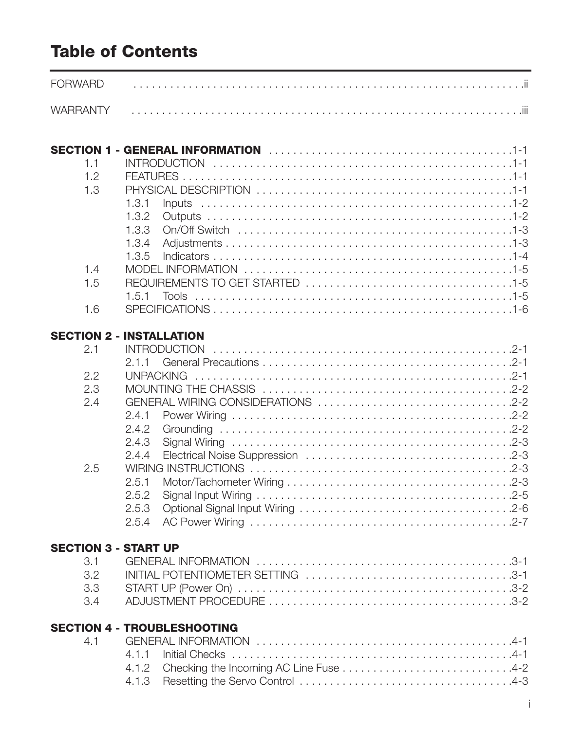# **Table of Contents**

| <b>FORWARD</b>              |                                    |
|-----------------------------|------------------------------------|
| <b>WARRANTY</b>             |                                    |
| <b>SECTION 1 -</b>          |                                    |
| 1.1                         |                                    |
| 1.2                         |                                    |
| 1.3                         |                                    |
|                             | 1.3.1                              |
|                             | 1.3.2                              |
|                             | 1.3.3                              |
|                             | 1.3.4                              |
|                             | 1.3.5                              |
| 1.4                         |                                    |
| 1.5                         |                                    |
|                             | 1.5.1                              |
| 1.6                         |                                    |
|                             |                                    |
|                             | <b>SECTION 2 - INSTALLATION</b>    |
| 2.1                         | <b>INTRODUCTION</b>                |
|                             | 2.1.1                              |
| 2.2                         | <b>UNPACKING</b>                   |
| 2.3                         |                                    |
| 2.4                         | GENERAL WIRING CONSIDERATIONS 2-2  |
|                             | 2.4.1                              |
|                             | 2.4.2                              |
|                             | 2.4.3                              |
|                             | 2.4.4                              |
| 2.5                         |                                    |
|                             | 2.5.1                              |
|                             | 2.5.2                              |
|                             | 2.5.3                              |
|                             | 2.5.4                              |
|                             |                                    |
| <b>SECTION 3 - START UP</b> |                                    |
| 3.1<br>3.2                  |                                    |
|                             |                                    |
| 3.3                         |                                    |
| 3.4                         |                                    |
|                             | <b>SECTION 4 - TROUBLESHOOTING</b> |
| 4.1                         |                                    |
|                             | 4.1.1                              |
|                             | 4.1.2                              |
|                             |                                    |
|                             | 4.1.3                              |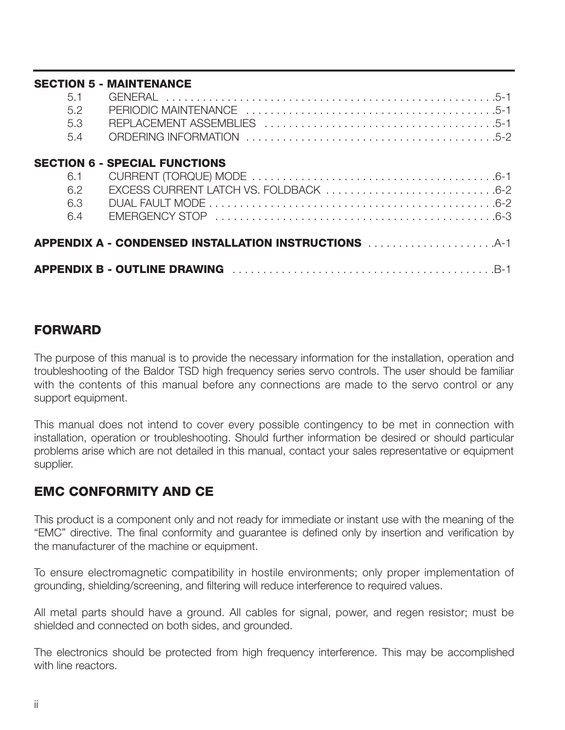|     | <b>SECTION 5 - MAINTENANCE</b>       |
|-----|--------------------------------------|
| 5.1 |                                      |
| 5.2 |                                      |
| 5.3 |                                      |
| 5.4 |                                      |
|     | <b>SECTION 6 - SPECIAL FUNCTIONS</b> |
| 6.1 |                                      |
| 6.2 |                                      |
| 6.3 |                                      |
| 6.4 |                                      |
|     |                                      |
|     |                                      |

#### **FORWARD**

The purpose of this manual is to provide the necessary information for the installation, operation and troubleshooting of the Baldor TSD high frequency series servo controls. The user should be familiar with the contents of this manual before any connections are made to the servo control or any support equipment.

This manual does not intend to cover every possible contingency to be met in connection with installation, operation or troubleshooting. Should further information be desired or should particular problems arise which are not detailed in this manual, contact your sales representative or equipment supplier.

## **EMC CONFORMITY AND CE**

This product is a component only and not ready for immediate or instant use with the meaning of the "EMC" directive. The final conformity and guarantee is defined only by insertion and verification by the manufacturer of the machine or equipment.

To ensure electromagnetic compatibility in hostile environments; only proper implementation of grounding, shielding/screening, and filtering will reduce interference to required values.

All metal parts should have a ground. All cables for signal, power, and regen resistor; must be shielded and connected on both sides, and grounded.

The electronics should be protected from high frequency interference. This may be accomplished with line reactors.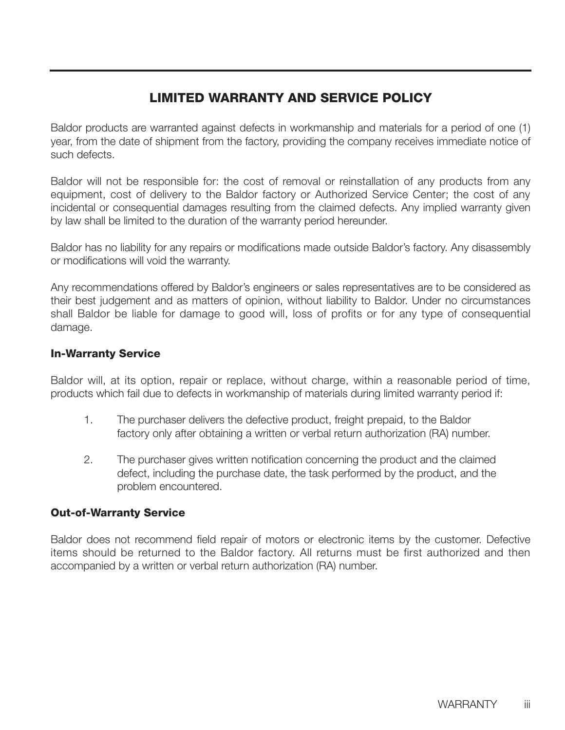## **LIMITED WARRANTY AND SERVICE POLICY**

Baldor products are warranted against defects in workmanship and materials for a period of one (1) year, from the date of shipment from the factory, providing the company receives immediate notice of such defects.

Baldor will not be responsible for: the cost of removal or reinstallation of any products from any equipment, cost of delivery to the Baldor factory or Authorized Service Center; the cost of any incidental or consequential damages resulting from the claimed defects. Any implied warranty given by law shall be limited to the duration of the warranty period hereunder.

Baldor has no liability for any repairs or modifications made outside Baldor's factory. Any disassembly or modifications will void the warranty.

Any recommendations offered by Baldor's engineers or sales representatives are to be considered as their best judgement and as matters of opinion, without liability to Baldor. Under no circumstances shall Baldor be liable for damage to good will, loss of profits or for any type of consequential damage.

#### **In-Warranty Service**

Baldor will, at its option, repair or replace, without charge, within a reasonable period of time, products which fail due to defects in workmanship of materials during limited warranty period if:

- 1. The purchaser delivers the defective product, freight prepaid, to the Baldor factory only after obtaining a written or verbal return authorization (RA) number.
- 2. The purchaser gives written notification concerning the product and the claimed defect, including the purchase date, the task performed by the product, and the problem encountered.

#### **Out-of-Warranty Service**

Baldor does not recommend field repair of motors or electronic items by the customer. Defective items should be returned to the Baldor factory. All returns must be first authorized and then accompanied by a written or verbal return authorization (RA) number.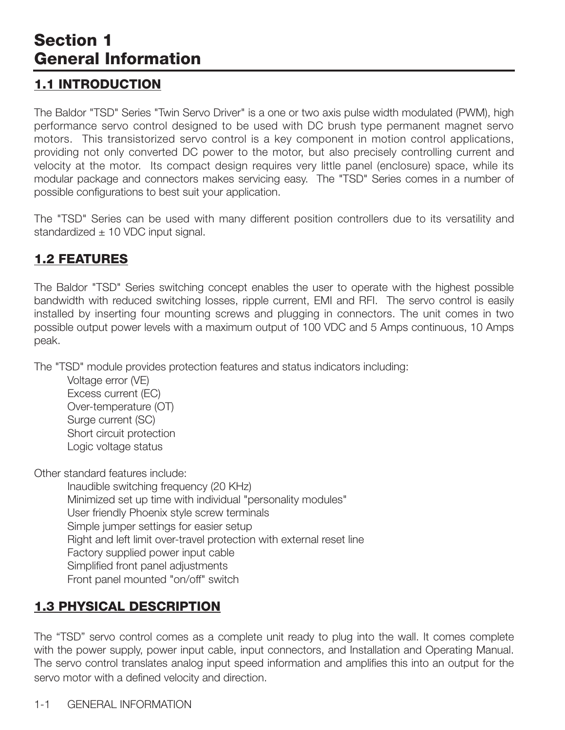# **Section 1 General Information**

## **1.1 INTRODUCTION**

The Baldor "TSD" Series "Twin Servo Driver" is a one or two axis pulse width modulated (PWM), high performance servo control designed to be used with DC brush type permanent magnet servo motors. This transistorized servo control is a key component in motion control applications, providing not only converted DC power to the motor, but also precisely controlling current and velocity at the motor. Its compact design requires very little panel (enclosure) space, while its modular package and connectors makes servicing easy. The "TSD" Series comes in a number of possible configurations to best suit your application.

The "TSD" Series can be used with many different position controllers due to its versatility and standardized  $\pm$  10 VDC input signal.

#### **1.2 FEATURES**

The Baldor "TSD" Series switching concept enables the user to operate with the highest possible bandwidth with reduced switching losses, ripple current, EMI and RFI. The servo control is easily installed by inserting four mounting screws and plugging in connectors. The unit comes in two possible output power levels with a maximum output of 100 VDC and 5 Amps continuous, 10 Amps peak.

The "TSD" module provides protection features and status indicators including:

Voltage error (VE) Excess current (EC) Over-temperature (OT) Surge current (SC) Short circuit protection Logic voltage status

Other standard features include:

Inaudible switching frequency (20 KHz) Minimized set up time with individual "personality modules" User friendly Phoenix style screw terminals Simple jumper settings for easier setup Right and left limit over-travel protection with external reset line Factory supplied power input cable Simplified front panel adjustments Front panel mounted "on/off" switch

## **1.3 PHYSICAL DESCRIPTION**

The "TSD" servo control comes as a complete unit ready to plug into the wall. It comes complete with the power supply, power input cable, input connectors, and Installation and Operating Manual. The servo control translates analog input speed information and amplifies this into an output for the servo motor with a defined velocity and direction.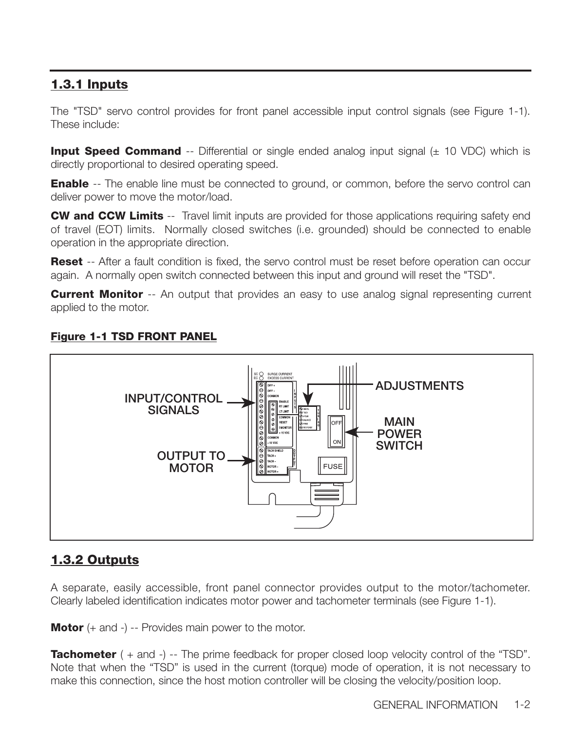## **1.3.1 Inputs**

The "TSD" servo control provides for front panel accessible input control signals (see Figure 1-1). These include:

**Input Speed Command** -- Differential or single ended analog input signal ( $\pm$  10 VDC) which is directly proportional to desired operating speed.

**Enable** -- The enable line must be connected to ground, or common, before the servo control can deliver power to move the motor/load.

**CW and CCW Limits** -- Travel limit inputs are provided for those applications requiring safety end of travel (EOT) limits. Normally closed switches (i.e. grounded) should be connected to enable operation in the appropriate direction.

**Reset** -- After a fault condition is fixed, the servo control must be reset before operation can occur again. A normally open switch connected between this input and ground will reset the "TSD".

**Current Monitor** -- An output that provides an easy to use analog signal representing current applied to the motor.

# **ADJUSTMENTS INPUT/CONTROL SIGNALS MAIN POWER** ON **SWITCH OUTPUT TO FUSE MOTOR**

#### **Figure 1-1 TSD FRONT PANEL**

#### **1.3.2 Outputs**

A separate, easily accessible, front panel connector provides output to the motor/tachometer. Clearly labeled identification indicates motor power and tachometer terminals (see Figure 1-1).

**Motor** (+ and -) -- Provides main power to the motor.

**Tachometer** ( + and -) -- The prime feedback for proper closed loop velocity control of the "TSD". Note that when the "TSD" is used in the current (torque) mode of operation, it is not necessary to make this connection, since the host motion controller will be closing the velocity/position loop.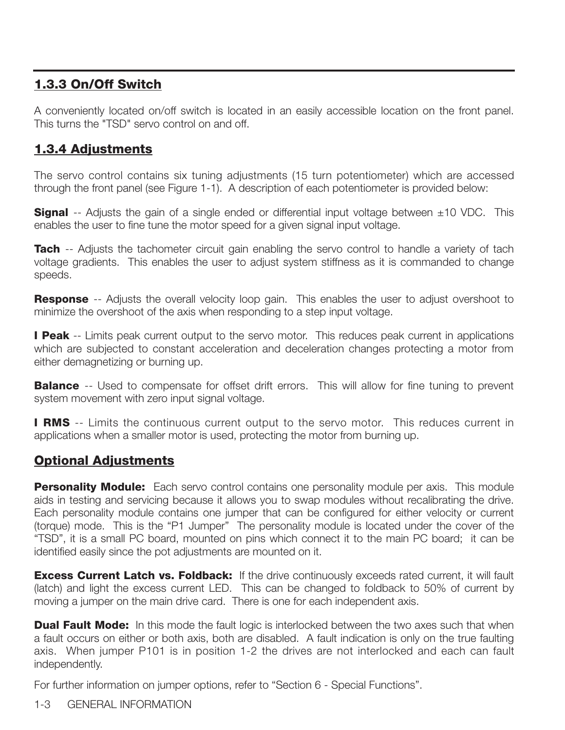#### **1.3.3 On/Off Switch**

A conveniently located on/off switch is located in an easily accessible location on the front panel. This turns the "TSD" servo control on and off.

#### **1.3.4 Adjustments**

The servo control contains six tuning adjustments (15 turn potentiometer) which are accessed through the front panel (see Figure 1-1). A description of each potentiometer is provided below:

**Signal** -- Adjusts the gain of a single ended or differential input voltage between  $\pm$ 10 VDC. This enables the user to fine tune the motor speed for a given signal input voltage.

**Tach** -- Adjusts the tachometer circuit gain enabling the servo control to handle a variety of tach voltage gradients. This enables the user to adjust system stiffness as it is commanded to change speeds.

**Response** -- Adjusts the overall velocity loop gain. This enables the user to adjust overshoot to minimize the overshoot of the axis when responding to a step input voltage.

**I Peak** -- Limits peak current output to the servo motor. This reduces peak current in applications which are subjected to constant acceleration and deceleration changes protecting a motor from either demagnetizing or burning up.

**Balance** -- Used to compensate for offset drift errors. This will allow for fine tuning to prevent system movement with zero input signal voltage.

**I RMS** -- Limits the continuous current output to the servo motor. This reduces current in applications when a smaller motor is used, protecting the motor from burning up.

#### **Optional Adjustments**

**Personality Module:** Each servo control contains one personality module per axis. This module aids in testing and servicing because it allows you to swap modules without recalibrating the drive. Each personality module contains one jumper that can be configured for either velocity or current (torque) mode. This is the "P1 Jumper" The personality module is located under the cover of the "TSD", it is a small PC board, mounted on pins which connect it to the main PC board; it can be identified easily since the pot adjustments are mounted on it.

**Excess Current Latch vs. Foldback:** If the drive continuously exceeds rated current, it will fault (latch) and light the excess current LED. This can be changed to foldback to 50% of current by moving a jumper on the main drive card. There is one for each independent axis.

**Dual Fault Mode:** In this mode the fault logic is interlocked between the two axes such that when a fault occurs on either or both axis, both are disabled. A fault indication is only on the true faulting axis. When jumper P101 is in position 1-2 the drives are not interlocked and each can fault independently.

For further information on jumper options, refer to "Section 6 - Special Functions".

#### 1-3 GENERAL INFORMATION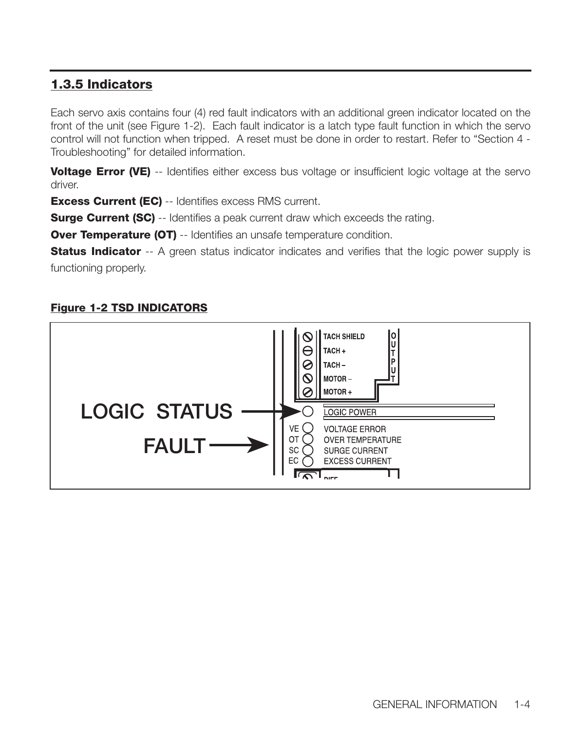#### **1.3.5 Indicators**

Each servo axis contains four (4) red fault indicators with an additional green indicator located on the front of the unit (see Figure 1-2). Each fault indicator is a latch type fault function in which the servo control will not function when tripped. A reset must be done in order to restart. Refer to "Section 4 - Troubleshooting" for detailed information.

**Voltage Error (VE)** -- Identifies either excess bus voltage or insufficient logic voltage at the servo driver.

**Excess Current (EC)** -- Identifies excess RMS current.

**Surge Current (SC)** -- Identifies a peak current draw which exceeds the rating.

**Over Temperature (OT)** -- Identifies an unsafe temperature condition.

**Status Indicator** -- A green status indicator indicates and verifies that the logic power supply is functioning properly.

#### **Figure 1-2 TSD INDICATORS**

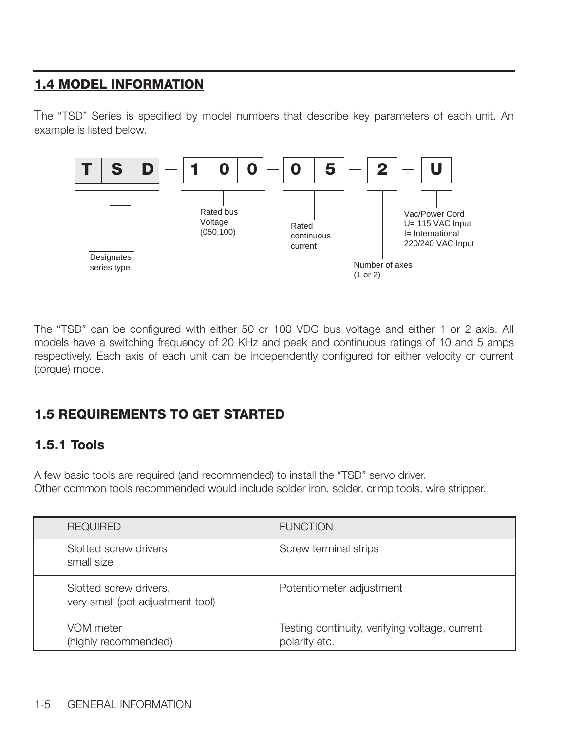## **1.4 MODEL INFORMATION**

The "TSD" Series is specified by model numbers that describe key parameters of each unit. An example is listed below.



The "TSD" can be configured with either 50 or 100 VDC bus voltage and either 1 or 2 axis. All models have a switching frequency of 20 KHz and peak and continuous ratings of 10 and 5 amps respectively. Each axis of each unit can be independently configured for either velocity or current (torque) mode.

## **1.5 REQUIREMENTS TO GET STARTED**

## **1.5.1 Tools**

A few basic tools are required (and recommended) to install the "TSD" servo driver. Other common tools recommended would include solder iron, solder, crimp tools, wire stripper.

| <b>REQUIRED</b>                                            | <b>FUNCTION</b>                                                 |
|------------------------------------------------------------|-----------------------------------------------------------------|
| Slotted screw drivers<br>small size                        | Screw terminal strips                                           |
| Slotted screw drivers,<br>very small (pot adjustment tool) | Potentiometer adjustment                                        |
| VOM meter<br>(highly recommended)                          | Testing continuity, verifying voltage, current<br>polarity etc. |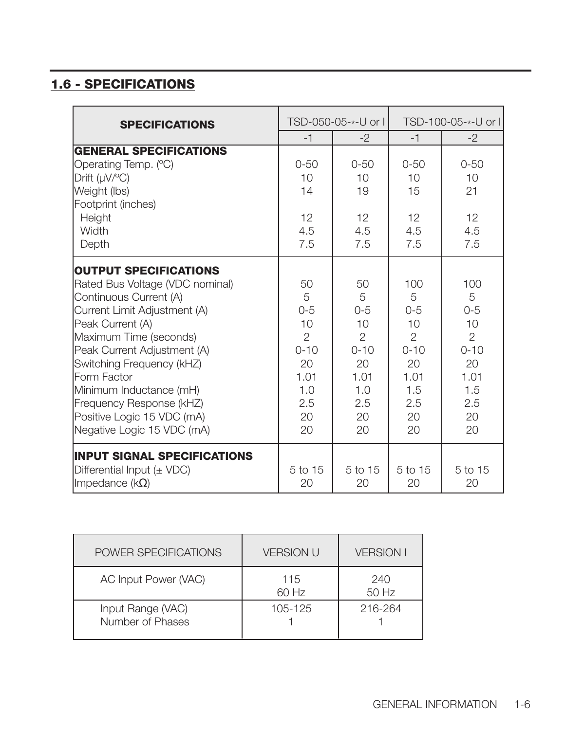## **1.6 - SPECIFICATIONS**

| <b>SPECIFICATIONS</b>                                                                                                                                                                                                                                                                                                                                                 | TSD-050-05-*-U or I                                                                            |                                                                                                | TSD-100-05-*-U or I                                                                             |                                                                                                 |
|-----------------------------------------------------------------------------------------------------------------------------------------------------------------------------------------------------------------------------------------------------------------------------------------------------------------------------------------------------------------------|------------------------------------------------------------------------------------------------|------------------------------------------------------------------------------------------------|-------------------------------------------------------------------------------------------------|-------------------------------------------------------------------------------------------------|
|                                                                                                                                                                                                                                                                                                                                                                       | $-1$                                                                                           | $-2$                                                                                           | $-1$                                                                                            | $-2$                                                                                            |
| <b>GENERAL SPECIFICATIONS</b><br>Operating Temp. (°C)<br>Drift (µV/°C)<br>Weight (lbs)<br>Footprint (inches)<br>Height<br>Width<br>Depth                                                                                                                                                                                                                              | $0 - 50$<br>10<br>14<br>12<br>4.5<br>7.5                                                       | $0 - 50$<br>10<br>19<br>12<br>4.5<br>7.5                                                       | $0 - 50$<br>10<br>15<br>12<br>4.5<br>7.5                                                        | $0 - 50$<br>10<br>21<br>12<br>4.5<br>7.5                                                        |
| <b>OUTPUT SPECIFICATIONS</b><br>Rated Bus Voltage (VDC nominal)<br>Continuous Current (A)<br>Current Limit Adjustment (A)<br>Peak Current (A)<br>Maximum Time (seconds)<br>Peak Current Adjustment (A)<br>Switching Frequency (kHZ)<br>Form Factor<br>Minimum Inductance (mH)<br>Frequency Response (kHZ)<br>Positive Logic 15 VDC (mA)<br>Negative Logic 15 VDC (mA) | 50<br>5<br>$0 - 5$<br>10<br>$\overline{2}$<br>$0 - 10$<br>20<br>1.01<br>1.0<br>2.5<br>20<br>20 | 50<br>5<br>$0 - 5$<br>10<br>$\overline{2}$<br>$0 - 10$<br>20<br>1.01<br>1.0<br>2.5<br>20<br>20 | 100<br>5<br>$0 - 5$<br>10<br>$\overline{2}$<br>$0 - 10$<br>20<br>1.01<br>1.5<br>2.5<br>20<br>20 | 100<br>5<br>$0 - 5$<br>10<br>$\overline{2}$<br>$0 - 10$<br>20<br>1.01<br>1.5<br>2.5<br>20<br>20 |
| <b>INPUT SIGNAL SPECIFICATIONS</b><br>Differential Input $(\pm \text{ VDC})$<br>Impedance ( $k\Omega$ )                                                                                                                                                                                                                                                               | 5 to 15<br>20                                                                                  | 5 to 15<br>20                                                                                  | 5 to 15<br>20                                                                                   | 5 to 15<br>20                                                                                   |

| POWER SPECIFICATIONS                  | <b>VERSION U</b> | <b>VERSION I</b> |
|---------------------------------------|------------------|------------------|
| AC Input Power (VAC)                  | 115<br>60 Hz     | 240<br>50 Hz     |
| Input Range (VAC)<br>Number of Phases | 105-125          | 216-264          |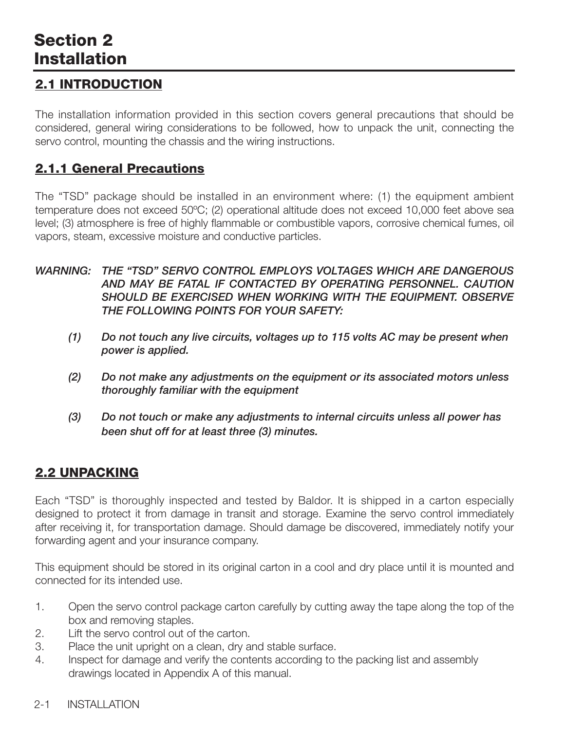## **2.1 INTRODUCTION**

The installation information provided in this section covers general precautions that should be considered, general wiring considerations to be followed, how to unpack the unit, connecting the servo control, mounting the chassis and the wiring instructions.

## **2.1.1 General Precautions**

The "TSD" package should be installed in an environment where: (1) the equipment ambient temperature does not exceed 50ºC; (2) operational altitude does not exceed 10,000 feet above sea level; (3) atmosphere is free of highly flammable or combustible vapors, corrosive chemical fumes, oil vapors, steam, excessive moisture and conductive particles.

- *WARNING: THE "TSD" SERVO CONTROL EMPLOYS VOLTAGES WHICH ARE DANGEROUS AND MAY BE FATAL IF CONTACTED BY OPERATING PERSONNEL. CAUTION SHOULD BE EXERCISED WHEN WORKING WITH THE EQUIPMENT. OBSERVE THE FOLLOWING POINTS FOR YOUR SAFETY:*
	- *(1) Do not touch any live circuits, voltages up to 115 volts AC may be present when power is applied.*
	- *(2) Do not make any adjustments on the equipment or its associated motors unless thoroughly familiar with the equipment*
	- *(3) Do not touch or make any adjustments to internal circuits unless all power has been shut off for at least three (3) minutes.*

## **2.2 UNPACKING**

Each "TSD" is thoroughly inspected and tested by Baldor. It is shipped in a carton especially designed to protect it from damage in transit and storage. Examine the servo control immediately after receiving it, for transportation damage. Should damage be discovered, immediately notify your forwarding agent and your insurance company.

This equipment should be stored in its original carton in a cool and dry place until it is mounted and connected for its intended use.

- 1. Open the servo control package carton carefully by cutting away the tape along the top of the box and removing staples.
- 2. Lift the servo control out of the carton.
- 3. Place the unit upright on a clean, dry and stable surface.
- 4. Inspect for damage and verify the contents according to the packing list and assembly drawings located in Appendix A of this manual.
- 2-1 INSTALLATION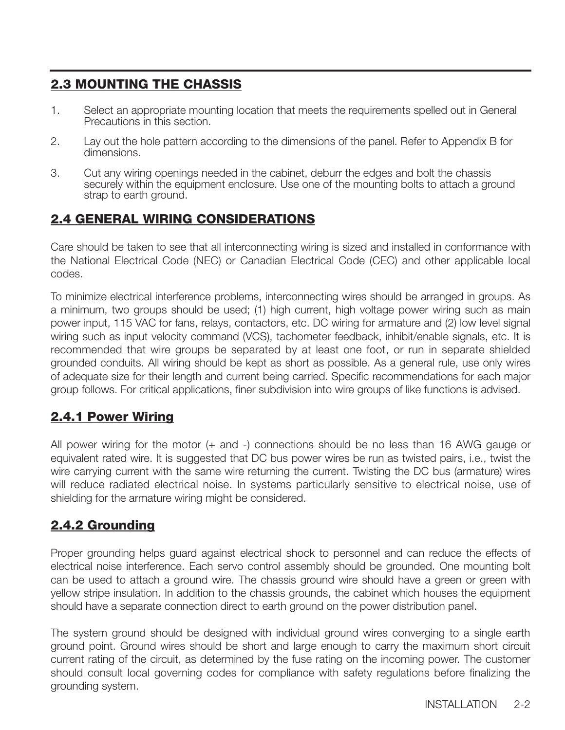#### **2.3 MOUNTING THE CHASSIS**

- 1. Select an appropriate mounting location that meets the requirements spelled out in General Precautions in this section.
- 2. Lay out the hole pattern according to the dimensions of the panel. Refer to Appendix B for dimensions.
- 3. Cut any wiring openings needed in the cabinet, deburr the edges and bolt the chassis securely within the equipment enclosure. Use one of the mounting bolts to attach a ground strap to earth ground.

#### **2.4 GENERAL WIRING CONSIDERATIONS**

Care should be taken to see that all interconnecting wiring is sized and installed in conformance with the National Electrical Code (NEC) or Canadian Electrical Code (CEC) and other applicable local codes.

To minimize electrical interference problems, interconnecting wires should be arranged in groups. As a minimum, two groups should be used; (1) high current, high voltage power wiring such as main power input, 115 VAC for fans, relays, contactors, etc. DC wiring for armature and (2) low level signal wiring such as input velocity command (VCS), tachometer feedback, inhibit/enable signals, etc. It is recommended that wire groups be separated by at least one foot, or run in separate shielded grounded conduits. All wiring should be kept as short as possible. As a general rule, use only wires of adequate size for their length and current being carried. Specific recommendations for each major group follows. For critical applications, finer subdivision into wire groups of like functions is advised.

#### **2.4.1 Power Wiring**

All power wiring for the motor (+ and -) connections should be no less than 16 AWG gauge or equivalent rated wire. It is suggested that DC bus power wires be run as twisted pairs, i.e., twist the wire carrying current with the same wire returning the current. Twisting the DC bus (armature) wires will reduce radiated electrical noise. In systems particularly sensitive to electrical noise, use of shielding for the armature wiring might be considered.

## **2.4.2 Grounding**

Proper grounding helps guard against electrical shock to personnel and can reduce the effects of electrical noise interference. Each servo control assembly should be grounded. One mounting bolt can be used to attach a ground wire. The chassis ground wire should have a green or green with yellow stripe insulation. In addition to the chassis grounds, the cabinet which houses the equipment should have a separate connection direct to earth ground on the power distribution panel.

The system ground should be designed with individual ground wires converging to a single earth ground point. Ground wires should be short and large enough to carry the maximum short circuit current rating of the circuit, as determined by the fuse rating on the incoming power. The customer should consult local governing codes for compliance with safety regulations before finalizing the grounding system.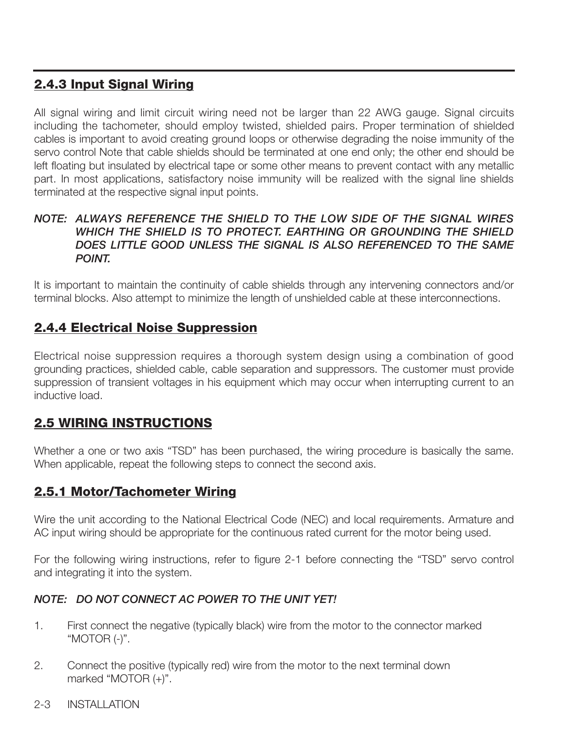#### **2.4.3 Input Signal Wiring**

All signal wiring and limit circuit wiring need not be larger than 22 AWG gauge. Signal circuits including the tachometer, should employ twisted, shielded pairs. Proper termination of shielded cables is important to avoid creating ground loops or otherwise degrading the noise immunity of the servo control Note that cable shields should be terminated at one end only; the other end should be left floating but insulated by electrical tape or some other means to prevent contact with any metallic part. In most applications, satisfactory noise immunity will be realized with the signal line shields terminated at the respective signal input points.

#### *NOTE: ALWAYS REFERENCE THE SHIELD TO THE LOW SIDE OF THE SIGNAL WIRES WHICH THE SHIELD IS TO PROTECT. EARTHING OR GROUNDING THE SHIELD DOES LITTLE GOOD UNLESS THE SIGNAL IS ALSO REFERENCED TO THE SAME POINT.*

It is important to maintain the continuity of cable shields through any intervening connectors and/or terminal blocks. Also attempt to minimize the length of unshielded cable at these interconnections.

#### **2.4.4 Electrical Noise Suppression**

Electrical noise suppression requires a thorough system design using a combination of good grounding practices, shielded cable, cable separation and suppressors. The customer must provide suppression of transient voltages in his equipment which may occur when interrupting current to an inductive load.

#### **2.5 WIRING INSTRUCTIONS**

Whether a one or two axis "TSD" has been purchased, the wiring procedure is basically the same. When applicable, repeat the following steps to connect the second axis.

#### **2.5.1 Motor/Tachometer Wiring**

Wire the unit according to the National Electrical Code (NEC) and local requirements. Armature and AC input wiring should be appropriate for the continuous rated current for the motor being used.

For the following wiring instructions, refer to figure 2-1 before connecting the "TSD" servo control and integrating it into the system.

#### *NOTE: DO NOT CONNECT AC POWER TO THE UNIT YET!*

- 1. First connect the negative (typically black) wire from the motor to the connector marked "MOTOR (-)".
- 2. Connect the positive (typically red) wire from the motor to the next terminal down marked "MOTOR (+)".
- 2-3 INSTALLATION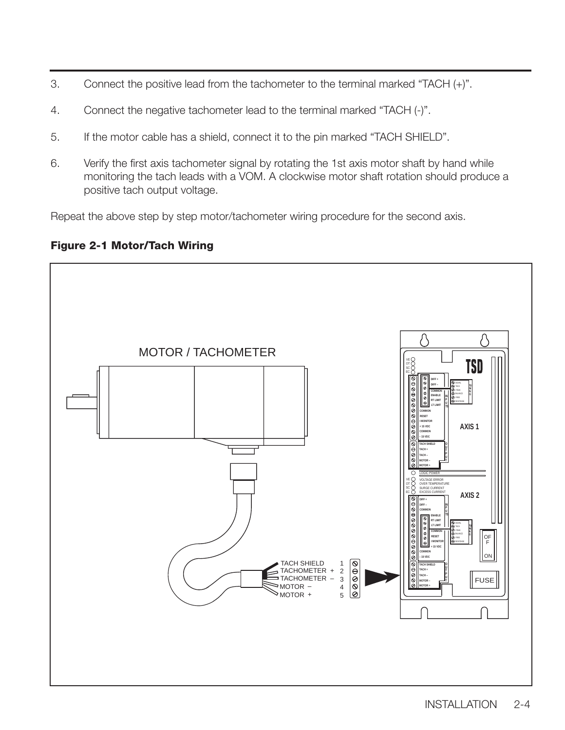- 3. Connect the positive lead from the tachometer to the terminal marked "TACH (+)".
- 4. Connect the negative tachometer lead to the terminal marked "TACH (-)".
- 5. If the motor cable has a shield, connect it to the pin marked "TACH SHIELD".
- 6. Verify the first axis tachometer signal by rotating the 1st axis motor shaft by hand while monitoring the tach leads with a VOM. A clockwise motor shaft rotation should produce a positive tach output voltage.

Repeat the above step by step motor/tachometer wiring procedure for the second axis.



#### **Figure 2-1 Motor/Tach Wiring**

OF F ON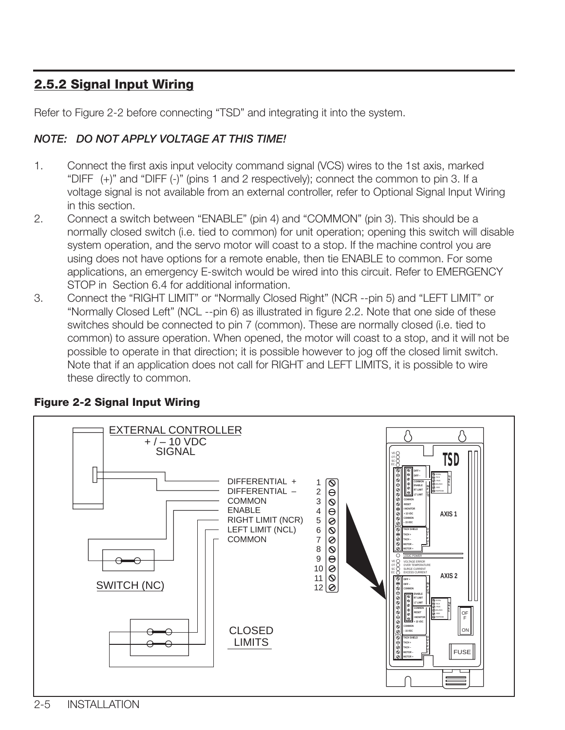## **2.5.2 Signal Input Wiring**

Refer to Figure 2-2 before connecting "TSD" and integrating it into the system.

#### *NOTE: DO NOT APPLY VOLTAGE AT THIS TIME!*

- 1. Connect the first axis input velocity command signal (VCS) wires to the 1st axis, marked "DIFF (+)" and "DIFF (-)" (pins 1 and 2 respectively); connect the common to pin 3. If a voltage signal is not available from an external controller, refer to Optional Signal Input Wiring in this section.
- 2. Connect a switch between "ENABLE" (pin 4) and "COMMON" (pin 3). This should be a normally closed switch (i.e. tied to common) for unit operation; opening this switch will disable system operation, and the servo motor will coast to a stop. If the machine control you are using does not have options for a remote enable, then tie ENABLE to common. For some applications, an emergency E-switch would be wired into this circuit. Refer to EMERGENCY STOP in Section 6.4 for additional information.
- 3. Connect the "RIGHT LIMIT" or "Normally Closed Right" (NCR --pin 5) and "LEFT LIMIT" or "Normally Closed Left" (NCL --pin 6) as illustrated in figure 2.2. Note that one side of these switches should be connected to pin 7 (common). These are normally closed (i.e. tied to common) to assure operation. When opened, the motor will coast to a stop, and it will not be possible to operate in that direction; it is possible however to jog off the closed limit switch. Note that if an application does not call for RIGHT and LEFT LIMITS, it is possible to wire these directly to common.

#### **Figure 2-2 Signal Input Wiring**

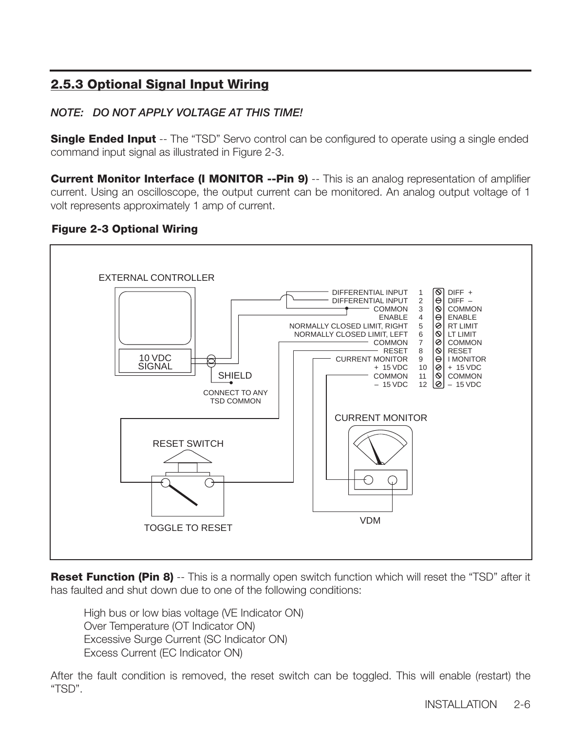## **2.5.3 Optional Signal Input Wiring**

#### *NOTE: DO NOT APPLY VOLTAGE AT THIS TIME!*

**Single Ended Input** -- The "TSD" Servo control can be configured to operate using a single ended command input signal as illustrated in Figure 2-3.

**Current Monitor Interface (I MONITOR --Pin 9)** -- This is an analog representation of amplifier current. Using an oscilloscope, the output current can be monitored. An analog output voltage of 1 volt represents approximately 1 amp of current.

#### **Figure 2-3 Optional Wiring**



**Reset Function (Pin 8)** -- This is a normally open switch function which will reset the "TSD" after it has faulted and shut down due to one of the following conditions:

High bus or low bias voltage (VE Indicator ON) Over Temperature (OT Indicator ON) Excessive Surge Current (SC Indicator ON) Excess Current (EC Indicator ON)

After the fault condition is removed, the reset switch can be toggled. This will enable (restart) the "TSD".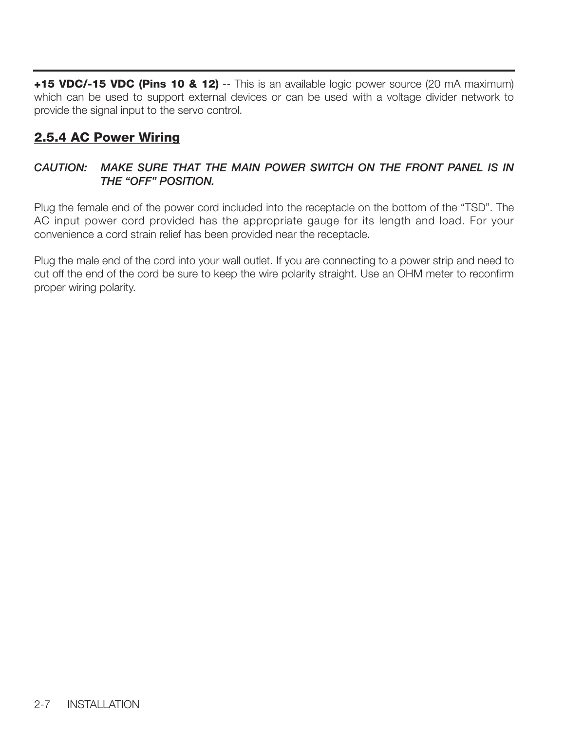**+15 VDC/-15 VDC (Pins 10 & 12)** -- This is an available logic power source (20 mA maximum) which can be used to support external devices or can be used with a voltage divider network to provide the signal input to the servo control.

## **2.5.4 AC Power Wiring**

#### *CAUTION: MAKE SURE THAT THE MAIN POWER SWITCH ON THE FRONT PANEL IS IN THE "OFF" POSITION.*

Plug the female end of the power cord included into the receptacle on the bottom of the "TSD". The AC input power cord provided has the appropriate gauge for its length and load. For your convenience a cord strain relief has been provided near the receptacle.

Plug the male end of the cord into your wall outlet. If you are connecting to a power strip and need to cut off the end of the cord be sure to keep the wire polarity straight. Use an OHM meter to reconfirm proper wiring polarity.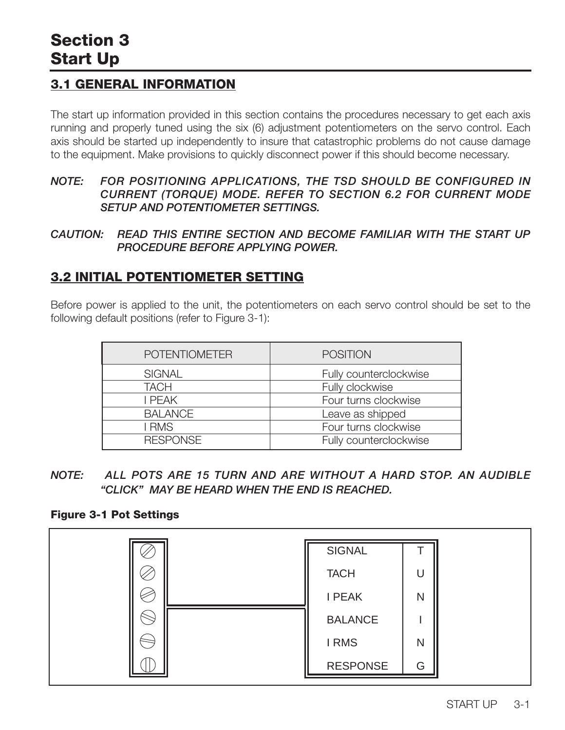## **3.1 GENERAL INFORMATION**

The start up information provided in this section contains the procedures necessary to get each axis running and properly tuned using the six (6) adjustment potentiometers on the servo control. Each axis should be started up independently to insure that catastrophic problems do not cause damage to the equipment. Make provisions to quickly disconnect power if this should become necessary.

- *NOTE: FOR POSITIONING APPLICATIONS, THE TSD SHOULD BE CONFIGURED IN CURRENT (TORQUE) MODE. REFER TO SECTION 6.2 FOR CURRENT MODE SETUP AND POTENTIOMETER SETTINGS.*
- *CAUTION: READ THIS ENTIRE SECTION AND BECOME FAMILIAR WITH THE START UP PROCEDURE BEFORE APPLYING POWER.*

#### **3.2 INITIAL POTENTIOMETER SETTING**

Before power is applied to the unit, the potentiometers on each servo control should be set to the following default positions (refer to Figure 3-1):

| <b>POTENTIOMETER</b> | <b>POSITION</b>        |
|----------------------|------------------------|
| <b>SIGNAL</b>        | Fully counterclockwise |
| <b>TACH</b>          | Fully clockwise        |
| <b>I PEAK</b>        | Four turns clockwise   |
| <b>BALANCE</b>       | Leave as shipped       |
| I RMS                | Four turns clockwise   |
| <b>RESPONSE</b>      | Fully counterclockwise |

*NOTE: ALL POTS ARE 15 TURN AND ARE WITHOUT A HARD STOP. AN AUDIBLE "CLICK" MAY BE HEARD WHEN THE END IS REACHED.*

#### **Figure 3-1 Pot Settings**

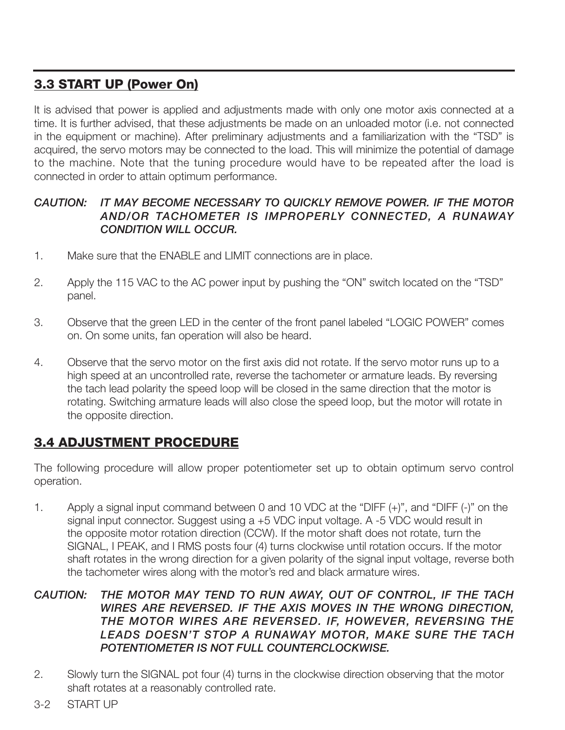#### **3.3 START UP (Power On)**

It is advised that power is applied and adjustments made with only one motor axis connected at a time. It is further advised, that these adjustments be made on an unloaded motor (i.e. not connected in the equipment or machine). After preliminary adjustments and a familiarization with the "TSD" is acquired, the servo motors may be connected to the load. This will minimize the potential of damage to the machine. Note that the tuning procedure would have to be repeated after the load is connected in order to attain optimum performance.

#### *CAUTION: IT MAY BECOME NECESSARY TO QUICKLY REMOVE POWER. IF THE MOTOR AND/OR TACHOMETER IS IMPROPERLY CONNECTED, A RUNAWAY CONDITION WILL OCCUR.*

- 1. Make sure that the ENABLE and LIMIT connections are in place.
- 2. Apply the 115 VAC to the AC power input by pushing the "ON" switch located on the "TSD" panel.
- 3. Observe that the green LED in the center of the front panel labeled "LOGIC POWER" comes on. On some units, fan operation will also be heard.
- 4. Observe that the servo motor on the first axis did not rotate. If the servo motor runs up to a high speed at an uncontrolled rate, reverse the tachometer or armature leads. By reversing the tach lead polarity the speed loop will be closed in the same direction that the motor is rotating. Switching armature leads will also close the speed loop, but the motor will rotate in the opposite direction.

## **3.4 ADJUSTMENT PROCEDURE**

The following procedure will allow proper potentiometer set up to obtain optimum servo control operation.

- 1. Apply a signal input command between 0 and 10 VDC at the "DIFF (+)", and "DIFF (-)" on the signal input connector. Suggest using a +5 VDC input voltage. A -5 VDC would result in the opposite motor rotation direction (CCW). If the motor shaft does not rotate, turn the SIGNAL, I PEAK, and I RMS posts four (4) turns clockwise until rotation occurs. If the motor shaft rotates in the wrong direction for a given polarity of the signal input voltage, reverse both the tachometer wires along with the motor's red and black armature wires.
- *CAUTION: THE MOTOR MAY TEND TO RUN AWAY, OUT OF CONTROL, IF THE TACH WIRES ARE REVERSED. IF THE AXIS MOVES IN THE WRONG DIRECTION, THE MOTOR WIRES ARE REVERSED. IF, HOWEVER, REVERSING THE LEADS DOESN'T STOP A RUNAWAY MOTOR, MAKE SURE THE TACH POTENTIOMETER IS NOT FULL COUNTERCLOCKWISE.*
- 2. Slowly turn the SIGNAL pot four (4) turns in the clockwise direction observing that the motor shaft rotates at a reasonably controlled rate.
- 3-2 START UP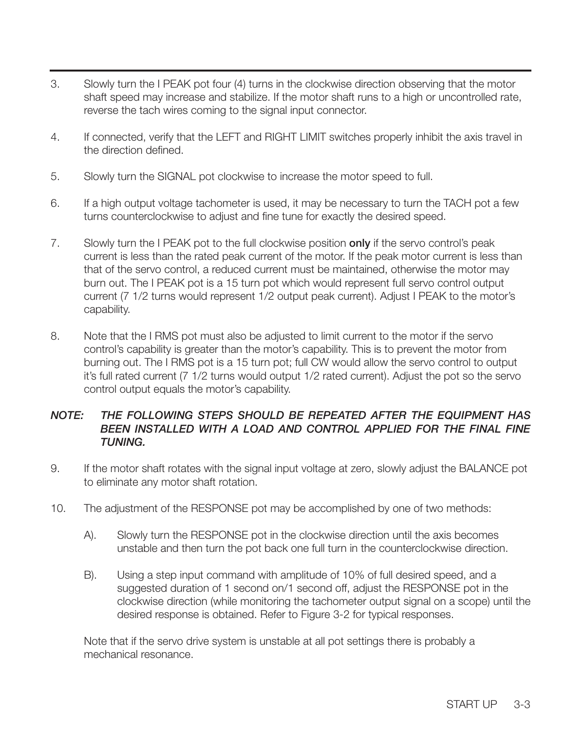- 3. Slowly turn the I PEAK pot four (4) turns in the clockwise direction observing that the motor shaft speed may increase and stabilize. If the motor shaft runs to a high or uncontrolled rate, reverse the tach wires coming to the signal input connector.
- 4. If connected, verify that the LEFT and RIGHT LIMIT switches properly inhibit the axis travel in the direction defined.
- 5. Slowly turn the SIGNAL pot clockwise to increase the motor speed to full.
- 6. If a high output voltage tachometer is used, it may be necessary to turn the TACH pot a few turns counterclockwise to adjust and fine tune for exactly the desired speed.
- 7. Slowly turn the I PEAK pot to the full clockwise position **only** if the servo control's peak current is less than the rated peak current of the motor. If the peak motor current is less than that of the servo control, a reduced current must be maintained, otherwise the motor may burn out. The I PEAK pot is a 15 turn pot which would represent full servo control output current (7 1/2 turns would represent 1/2 output peak current). Adjust I PEAK to the motor's capability.
- 8. Note that the I RMS pot must also be adjusted to limit current to the motor if the servo control's capability is greater than the motor's capability. This is to prevent the motor from burning out. The I RMS pot is a 15 turn pot; full CW would allow the servo control to output it's full rated current (7 1/2 turns would output 1/2 rated current). Adjust the pot so the servo control output equals the motor's capability.

#### *NOTE: THE FOLLOWING STEPS SHOULD BE REPEATED AFTER THE EQUIPMENT HAS BEEN INSTALLED WITH A LOAD AND CONTROL APPLIED FOR THE FINAL FINE TUNING.*

- 9. If the motor shaft rotates with the signal input voltage at zero, slowly adjust the BALANCE pot to eliminate any motor shaft rotation.
- 10. The adjustment of the RESPONSE pot may be accomplished by one of two methods:
	- A). Slowly turn the RESPONSE pot in the clockwise direction until the axis becomes unstable and then turn the pot back one full turn in the counterclockwise direction.
	- B). Using a step input command with amplitude of 10% of full desired speed, and a suggested duration of 1 second on/1 second off, adjust the RESPONSE pot in the clockwise direction (while monitoring the tachometer output signal on a scope) until the desired response is obtained. Refer to Figure 3-2 for typical responses.

Note that if the servo drive system is unstable at all pot settings there is probably a mechanical resonance.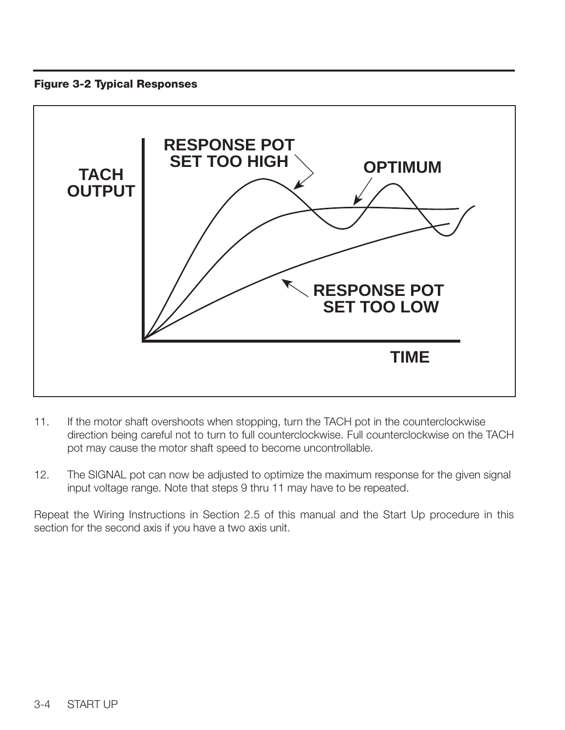



- 11. If the motor shaft overshoots when stopping, turn the TACH pot in the counterclockwise direction being careful not to turn to full counterclockwise. Full counterclockwise on the TACH pot may cause the motor shaft speed to become uncontrollable.
- 12. The SIGNAL pot can now be adjusted to optimize the maximum response for the given signal input voltage range. Note that steps 9 thru 11 may have to be repeated.

Repeat the Wiring Instructions in Section 2.5 of this manual and the Start Up procedure in this section for the second axis if you have a two axis unit.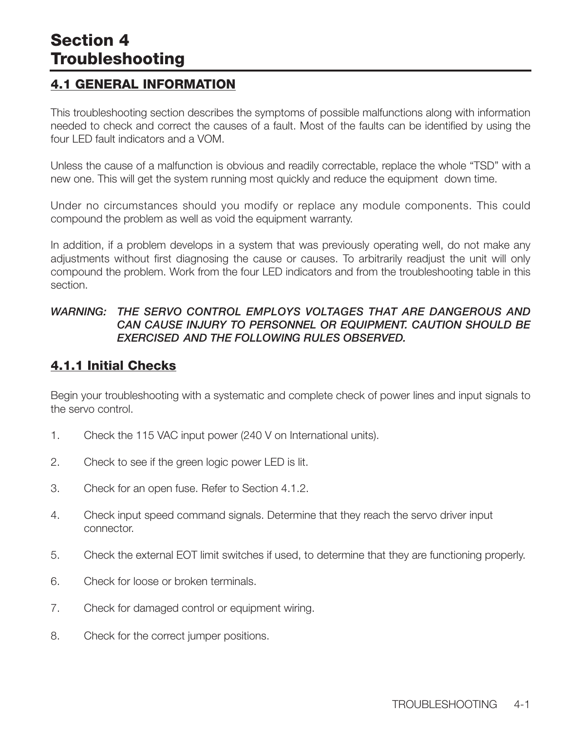#### **4.1 GENERAL INFORMATION**

This troubleshooting section describes the symptoms of possible malfunctions along with information needed to check and correct the causes of a fault. Most of the faults can be identified by using the four LED fault indicators and a VOM.

Unless the cause of a malfunction is obvious and readily correctable, replace the whole "TSD" with a new one. This will get the system running most quickly and reduce the equipment down time.

Under no circumstances should you modify or replace any module components. This could compound the problem as well as void the equipment warranty.

In addition, if a problem develops in a system that was previously operating well, do not make any adjustments without first diagnosing the cause or causes. To arbitrarily readjust the unit will only compound the problem. Work from the four LED indicators and from the troubleshooting table in this section.

#### *WARNING: THE SERVO CONTROL EMPLOYS VOLTAGES THAT ARE DANGEROUS AND CAN CAUSE INJURY TO PERSONNEL OR EQUIPMENT. CAUTION SHOULD BE EXERCISED AND THE FOLLOWING RULES OBSERVED.*

#### **4.1.1 Initial Checks**

Begin your troubleshooting with a systematic and complete check of power lines and input signals to the servo control.

- 1. Check the 115 VAC input power (240 V on International units).
- 2. Check to see if the green logic power LED is lit.
- 3. Check for an open fuse. Refer to Section 4.1.2.
- 4. Check input speed command signals. Determine that they reach the servo driver input connector.
- 5. Check the external EOT limit switches if used, to determine that they are functioning properly.
- 6. Check for loose or broken terminals.
- 7. Check for damaged control or equipment wiring.
- 8. Check for the correct jumper positions.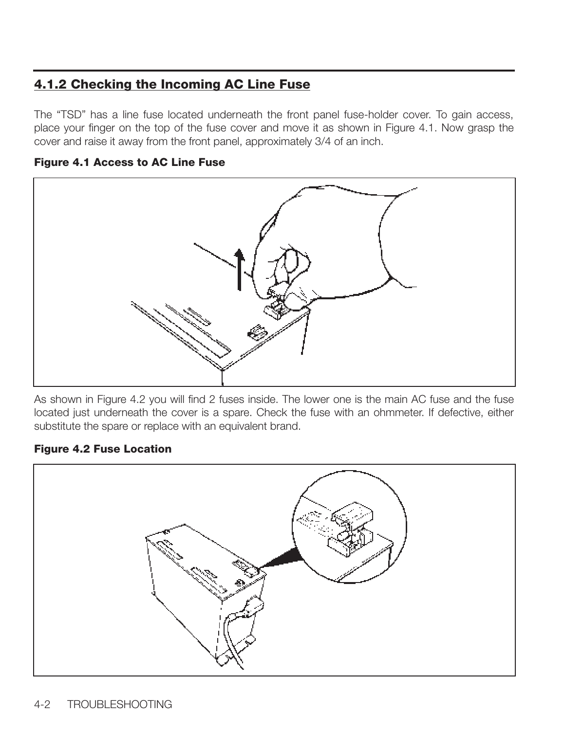#### **4.1.2 Checking the Incoming AC Line Fuse**

The "TSD" has a line fuse located underneath the front panel fuse-holder cover. To gain access, place your finger on the top of the fuse cover and move it as shown in Figure 4.1. Now grasp the cover and raise it away from the front panel, approximately 3/4 of an inch.

**Figure 4.1 Access to AC Line Fuse**



As shown in Figure 4.2 you will find 2 fuses inside. The lower one is the main AC fuse and the fuse located just underneath the cover is a spare. Check the fuse with an ohmmeter. If defective, either substitute the spare or replace with an equivalent brand.

#### **Figure 4.2 Fuse Location**

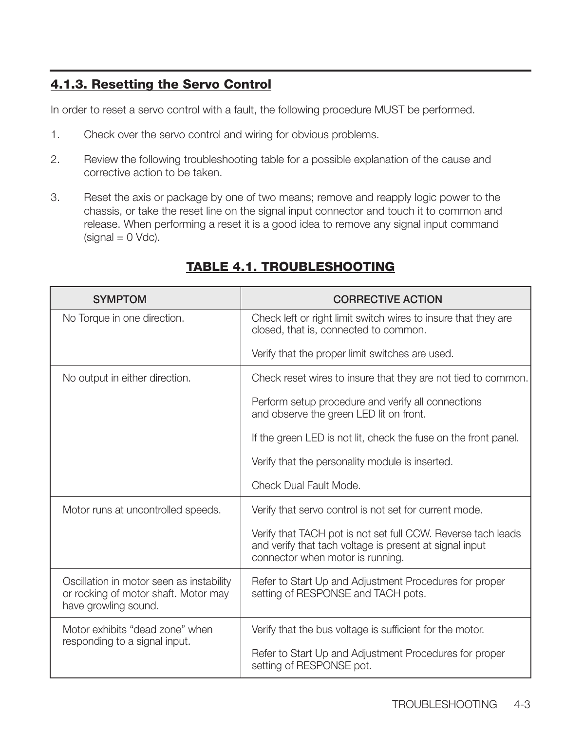## **4.1.3. Resetting the Servo Control**

In order to reset a servo control with a fault, the following procedure MUST be performed.

- 1. Check over the servo control and wiring for obvious problems.
- 2. Review the following troubleshooting table for a possible explanation of the cause and corrective action to be taken.
- 3. Reset the axis or package by one of two means; remove and reapply logic power to the chassis, or take the reset line on the signal input connector and touch it to common and release. When performing a reset it is a good idea to remove any signal input command  $(signal = 0$  Vdc).

| <b>SYMPTOM</b>                                                                                           | <b>CORRECTIVE ACTION</b>                                                                                                                                    |  |  |
|----------------------------------------------------------------------------------------------------------|-------------------------------------------------------------------------------------------------------------------------------------------------------------|--|--|
| No Torque in one direction.                                                                              | Check left or right limit switch wires to insure that they are<br>closed, that is, connected to common.                                                     |  |  |
|                                                                                                          | Verify that the proper limit switches are used.                                                                                                             |  |  |
| No output in either direction.                                                                           | Check reset wires to insure that they are not tied to common.                                                                                               |  |  |
|                                                                                                          | Perform setup procedure and verify all connections<br>and observe the green LED lit on front.                                                               |  |  |
|                                                                                                          | If the green LED is not lit, check the fuse on the front panel.                                                                                             |  |  |
|                                                                                                          | Verify that the personality module is inserted.                                                                                                             |  |  |
|                                                                                                          | Check Dual Fault Mode.                                                                                                                                      |  |  |
| Motor runs at uncontrolled speeds.                                                                       | Verify that servo control is not set for current mode.                                                                                                      |  |  |
|                                                                                                          | Verify that TACH pot is not set full CCW. Reverse tach leads<br>and verify that tach voltage is present at signal input<br>connector when motor is running. |  |  |
| Oscillation in motor seen as instability<br>or rocking of motor shaft. Motor may<br>have growling sound. | Refer to Start Up and Adjustment Procedures for proper<br>setting of RESPONSE and TACH pots.                                                                |  |  |
| Motor exhibits "dead zone" when                                                                          | Verify that the bus voltage is sufficient for the motor.                                                                                                    |  |  |
| responding to a signal input.                                                                            | Refer to Start Up and Adjustment Procedures for proper<br>setting of RESPONSE pot.                                                                          |  |  |

## **TABLE 4.1. TROUBLESHOOTING**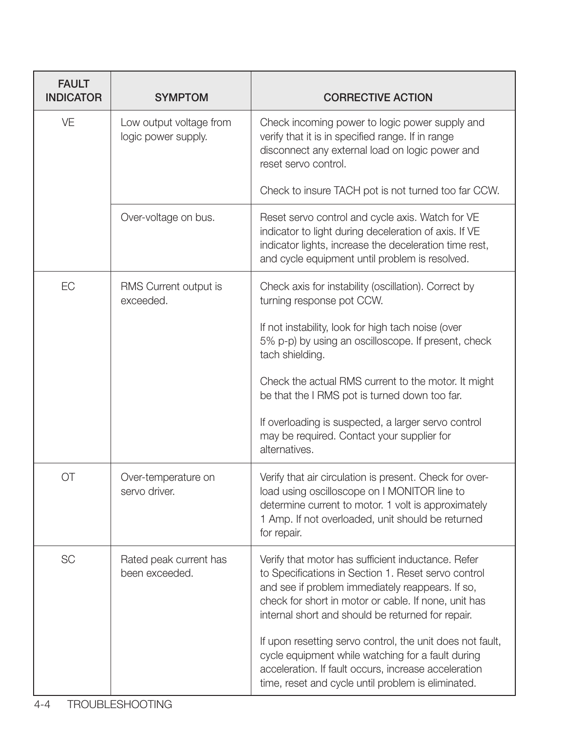| <b>FAULT</b><br><b>INDICATOR</b> | <b>SYMPTOM</b>                                 | <b>CORRECTIVE ACTION</b>                                                                                                                                                                                                                                                   |  |
|----------------------------------|------------------------------------------------|----------------------------------------------------------------------------------------------------------------------------------------------------------------------------------------------------------------------------------------------------------------------------|--|
| VE                               | Low output voltage from<br>logic power supply. | Check incoming power to logic power supply and<br>verify that it is in specified range. If in range<br>disconnect any external load on logic power and<br>reset servo control.                                                                                             |  |
|                                  |                                                | Check to insure TACH pot is not turned too far CCW.                                                                                                                                                                                                                        |  |
|                                  | Over-voltage on bus.                           | Reset servo control and cycle axis. Watch for VE<br>indicator to light during deceleration of axis. If VE<br>indicator lights, increase the deceleration time rest,<br>and cycle equipment until problem is resolved.                                                      |  |
| EC                               | RMS Current output is<br>exceeded.             | Check axis for instability (oscillation). Correct by<br>turning response pot CCW.                                                                                                                                                                                          |  |
|                                  |                                                | If not instability, look for high tach noise (over<br>5% p-p) by using an oscilloscope. If present, check<br>tach shielding.                                                                                                                                               |  |
|                                  |                                                | Check the actual RMS current to the motor. It might<br>be that the I RMS pot is turned down too far.                                                                                                                                                                       |  |
|                                  |                                                | If overloading is suspected, a larger servo control<br>may be required. Contact your supplier for<br>alternatives.                                                                                                                                                         |  |
| OT                               | Over-temperature on<br>servo driver.           | Verify that air circulation is present. Check for over-<br>load using oscilloscope on I MONITOR line to<br>determine current to motor. 1 volt is approximately<br>1 Amp. If not overloaded, unit should be returned<br>for repair.                                         |  |
| <b>SC</b>                        | Rated peak current has<br>been exceeded.       | Verify that motor has sufficient inductance. Refer<br>to Specifications in Section 1. Reset servo control<br>and see if problem immediately reappears. If so,<br>check for short in motor or cable. If none, unit has<br>internal short and should be returned for repair. |  |
|                                  |                                                | If upon resetting servo control, the unit does not fault,<br>cycle equipment while watching for a fault during<br>acceleration. If fault occurs, increase acceleration<br>time, reset and cycle until problem is eliminated.                                               |  |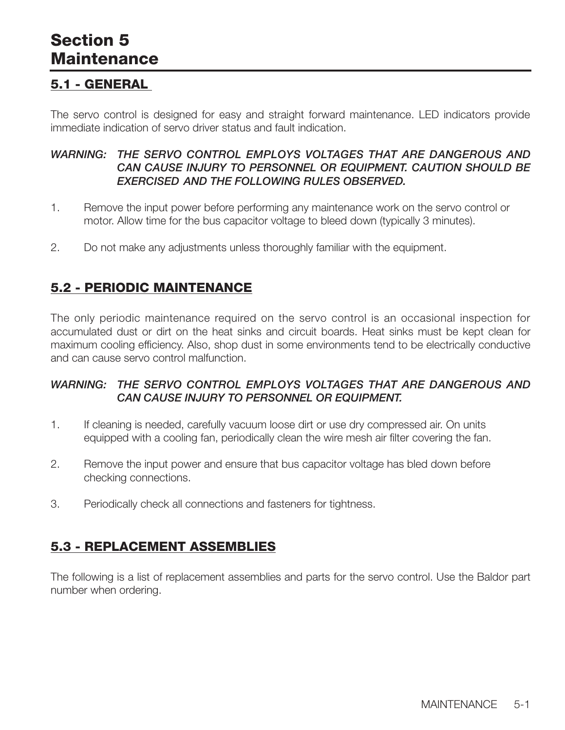## **5.1 - GENERAL**

The servo control is designed for easy and straight forward maintenance. LED indicators provide immediate indication of servo driver status and fault indication.

#### *WARNING: THE SERVO CONTROL EMPLOYS VOLTAGES THAT ARE DANGEROUS AND CAN CAUSE INJURY TO PERSONNEL OR EQUIPMENT. CAUTION SHOULD BE EXERCISED AND THE FOLLOWING RULES OBSERVED.*

- 1. Remove the input power before performing any maintenance work on the servo control or motor. Allow time for the bus capacitor voltage to bleed down (typically 3 minutes).
- 2. Do not make any adjustments unless thoroughly familiar with the equipment.

#### **5.2 - PERIODIC MAINTENANCE**

The only periodic maintenance required on the servo control is an occasional inspection for accumulated dust or dirt on the heat sinks and circuit boards. Heat sinks must be kept clean for maximum cooling efficiency. Also, shop dust in some environments tend to be electrically conductive and can cause servo control malfunction.

#### *WARNING: THE SERVO CONTROL EMPLOYS VOLTAGES THAT ARE DANGEROUS AND CAN CAUSE INJURY TO PERSONNEL OR EQUIPMENT.*

- 1. If cleaning is needed, carefully vacuum loose dirt or use dry compressed air. On units equipped with a cooling fan, periodically clean the wire mesh air filter covering the fan.
- 2. Remove the input power and ensure that bus capacitor voltage has bled down before checking connections.
- 3. Periodically check all connections and fasteners for tightness.

#### **5.3 - REPLACEMENT ASSEMBLIES**

The following is a list of replacement assemblies and parts for the servo control. Use the Baldor part number when ordering.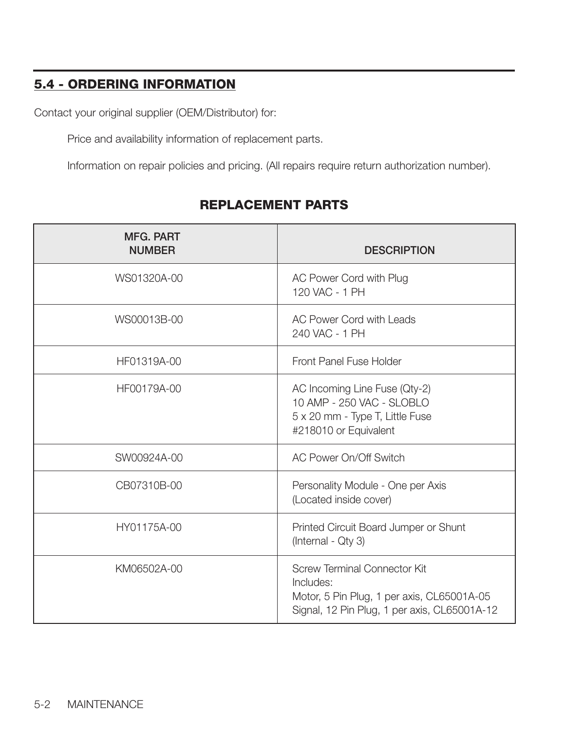#### **5.4 - ORDERING INFORMATION**

Contact your original supplier (OEM/Distributor) for:

Price and availability information of replacement parts.

Information on repair policies and pricing. (All repairs require return authorization number).

# **MFG. PART NUMBER DESCRIPTION** WS01320A-00 AC Power Cord with Plug 120 VAC - 1 PH WS00013B-00 AC Power Cord with Leads 240 VAC - 1 PH HF01319A-00 **Front Panel Fuse Holder** HF00179A-00 <br>
AC Incoming Line Fuse (Qty-2) 10 AMP - 250 VAC - SLOBLO 5 x 20 mm - Type T, Little Fuse #218010 or Equivalent SW00924A-00 AC Power On/Off Switch CB07310B-00 Personality Module - One per Axis (Located inside cover) HY01175A-00 **Printed Circuit Board Jumper or Shunt** (Internal - Qty 3) KM06502A-00 Screw Terminal Connector Kit Includes: Motor, 5 Pin Plug, 1 per axis, CL65001A-05 Signal, 12 Pin Plug, 1 per axis, CL65001A-12

## **REPLACEMENT PARTS**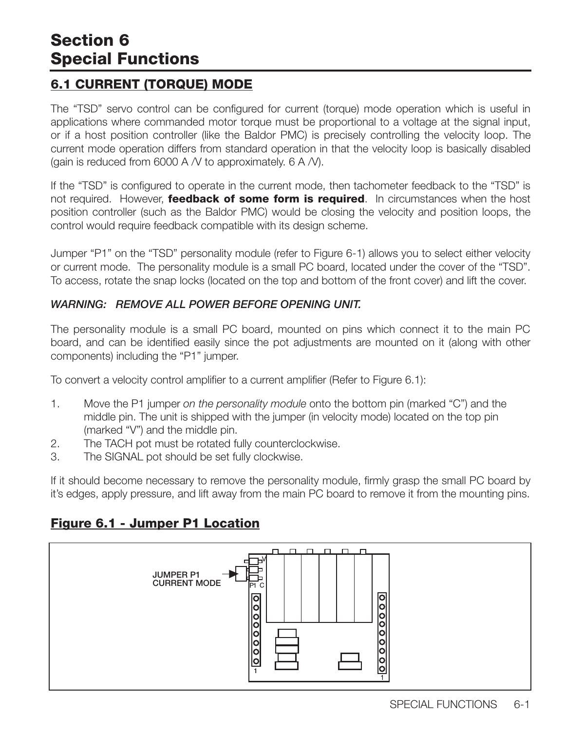# **Section 6 Special Functions**

## **6.1 CURRENT (TORQUE) MODE**

The "TSD" servo control can be configured for current (torque) mode operation which is useful in applications where commanded motor torque must be proportional to a voltage at the signal input, or if a host position controller (like the Baldor PMC) is precisely controlling the velocity loop. The current mode operation differs from standard operation in that the velocity loop is basically disabled (gain is reduced from 6000 A  $\land$  to approximately. 6 A  $\land$ ).

If the "TSD" is configured to operate in the current mode, then tachometer feedback to the "TSD" is not required. However, **feedback of some form is required**. In circumstances when the host position controller (such as the Baldor PMC) would be closing the velocity and position loops, the control would require feedback compatible with its design scheme.

Jumper "P1" on the "TSD" personality module (refer to Figure 6-1) allows you to select either velocity or current mode. The personality module is a small PC board, located under the cover of the "TSD". To access, rotate the snap locks (located on the top and bottom of the front cover) and lift the cover.

#### *WARNING: REMOVE ALL POWER BEFORE OPENING UNIT.*

The personality module is a small PC board, mounted on pins which connect it to the main PC board, and can be identified easily since the pot adjustments are mounted on it (along with other components) including the "P1" jumper.

To convert a velocity control amplifier to a current amplifier (Refer to Figure 6.1):

- 1. Move the P1 jumper *on the personality module* onto the bottom pin (marked "C") and the middle pin. The unit is shipped with the jumper (in velocity mode) located on the top pin (marked "V") and the middle pin.
- 2. The TACH pot must be rotated fully counterclockwise.
- 3. The SIGNAL pot should be set fully clockwise.

If it should become necessary to remove the personality module, firmly grasp the small PC board by it's edges, apply pressure, and lift away from the main PC board to remove it from the mounting pins.

#### **Figure 6.1 - Jumper P1 Location**

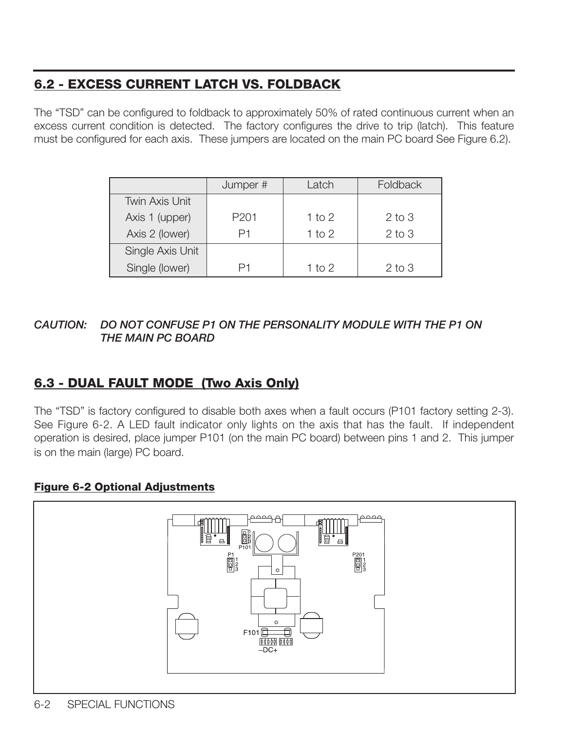## **6.2 - EXCESS CURRENT LATCH VS. FOLDBACK**

The "TSD" can be configured to foldback to approximately 50% of rated continuous current when an excess current condition is detected. The factory configures the drive to trip (latch). This feature must be configured for each axis. These jumpers are located on the main PC board See Figure 6.2).

|                       | Jumper #         | Latch      | Foldback   |
|-----------------------|------------------|------------|------------|
| <b>Twin Axis Unit</b> |                  |            |            |
| Axis 1 (upper)        | P <sub>201</sub> | 1 to $2$   | $2$ to $3$ |
| Axis 2 (lower)        | P1               | $1$ to $2$ | $2$ to $3$ |
| Single Axis Unit      |                  |            |            |
| Single (lower)        |                  | 1 to $2$   | $2$ to $3$ |

#### *CAUTION: DO NOT CONFUSE P1 ON THE PERSONALITY MODULE WITH THE P1 ON THE MAIN PC BOARD*

## **6.3 - DUAL FAULT MODE (Two Axis Only)**

The "TSD" is factory configured to disable both axes when a fault occurs (P101 factory setting 2-3). See Figure 6-2. A LED fault indicator only lights on the axis that has the fault. If independent operation is desired, place jumper P101 (on the main PC board) between pins 1 and 2. This jumper is on the main (large) PC board.

#### **Figure 6-2 Optional Adjustments**

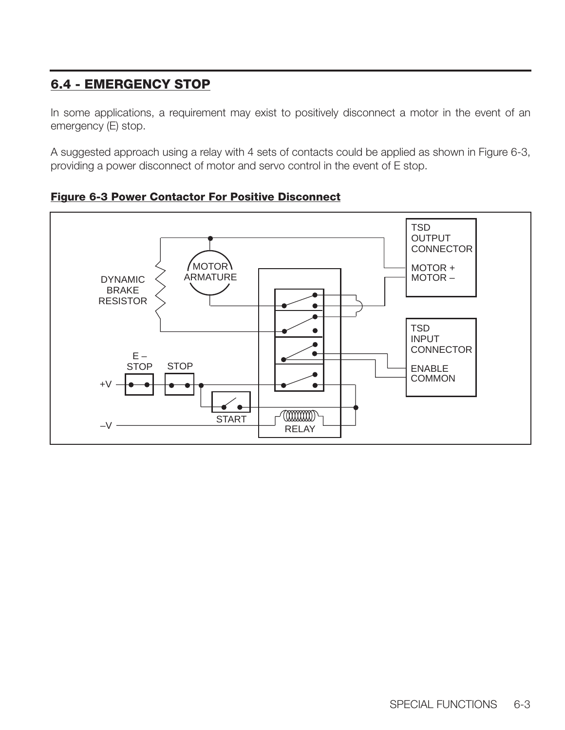#### **6.4 - EMERGENCY STOP**

In some applications, a requirement may exist to positively disconnect a motor in the event of an emergency (E) stop.

A suggested approach using a relay with 4 sets of contacts could be applied as shown in Figure 6-3, providing a power disconnect of motor and servo control in the event of E stop.



**Figure 6-3 Power Contactor For Positive Disconnect**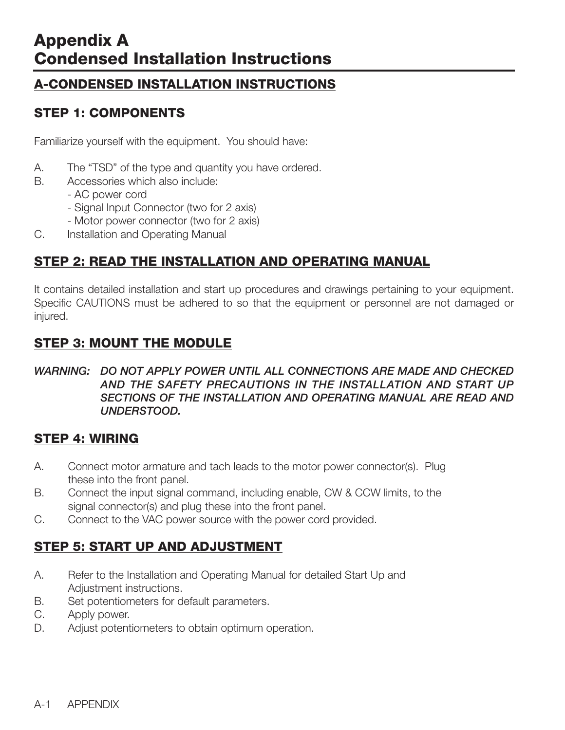# **Appendix A Condensed Installation Instructions**

#### **A-CONDENSED INSTALLATION INSTRUCTIONS**

## **STEP 1: COMPONENTS**

Familiarize yourself with the equipment. You should have:

- A. The "TSD" of the type and quantity you have ordered.
- B. Accessories which also include:
	- AC power cord
	- Signal Input Connector (two for 2 axis)
	- Motor power connector (two for 2 axis)
- C. Installation and Operating Manual

## **STEP 2: READ THE INSTALLATION AND OPERATING MANUAL**

It contains detailed installation and start up procedures and drawings pertaining to your equipment. Specific CAUTIONS must be adhered to so that the equipment or personnel are not damaged or injured.

#### **STEP 3: MOUNT THE MODULE**

*WARNING: DO NOT APPLY POWER UNTIL ALL CONNECTIONS ARE MADE AND CHECKED AND THE SAFETY PRECAUTIONS IN THE INSTALLATION AND START UP SECTIONS OF THE INSTALLATION AND OPERATING MANUAL ARE READ AND UNDERSTOOD.*

#### **STEP 4: WIRING**

- A. Connect motor armature and tach leads to the motor power connector(s). Plug these into the front panel.
- B. Connect the input signal command, including enable, CW & CCW limits, to the signal connector(s) and plug these into the front panel.
- C. Connect to the VAC power source with the power cord provided.

## **STEP 5: START UP AND ADJUSTMENT**

- A. Refer to the Installation and Operating Manual for detailed Start Up and Adjustment instructions.
- B. Set potentiometers for default parameters.
- C. Apply power.
- D. Adjust potentiometers to obtain optimum operation.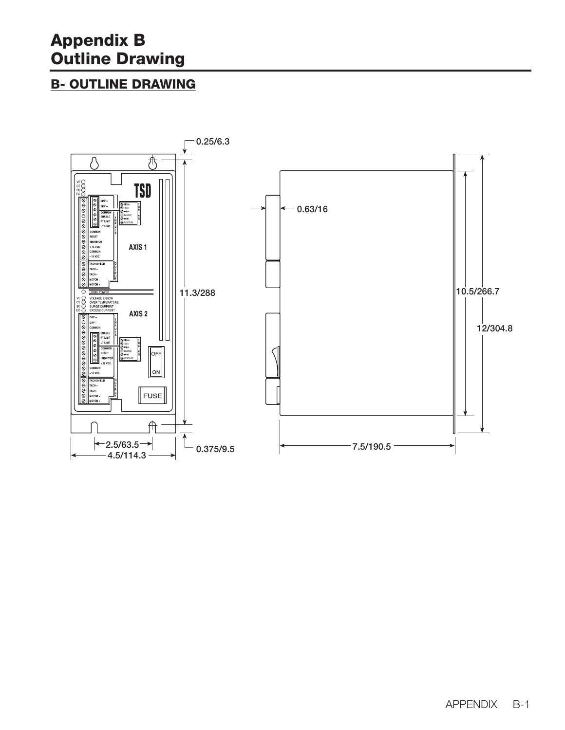# **Appendix B Outline Drawing**

#### **B- OUTLINE DRAWING**